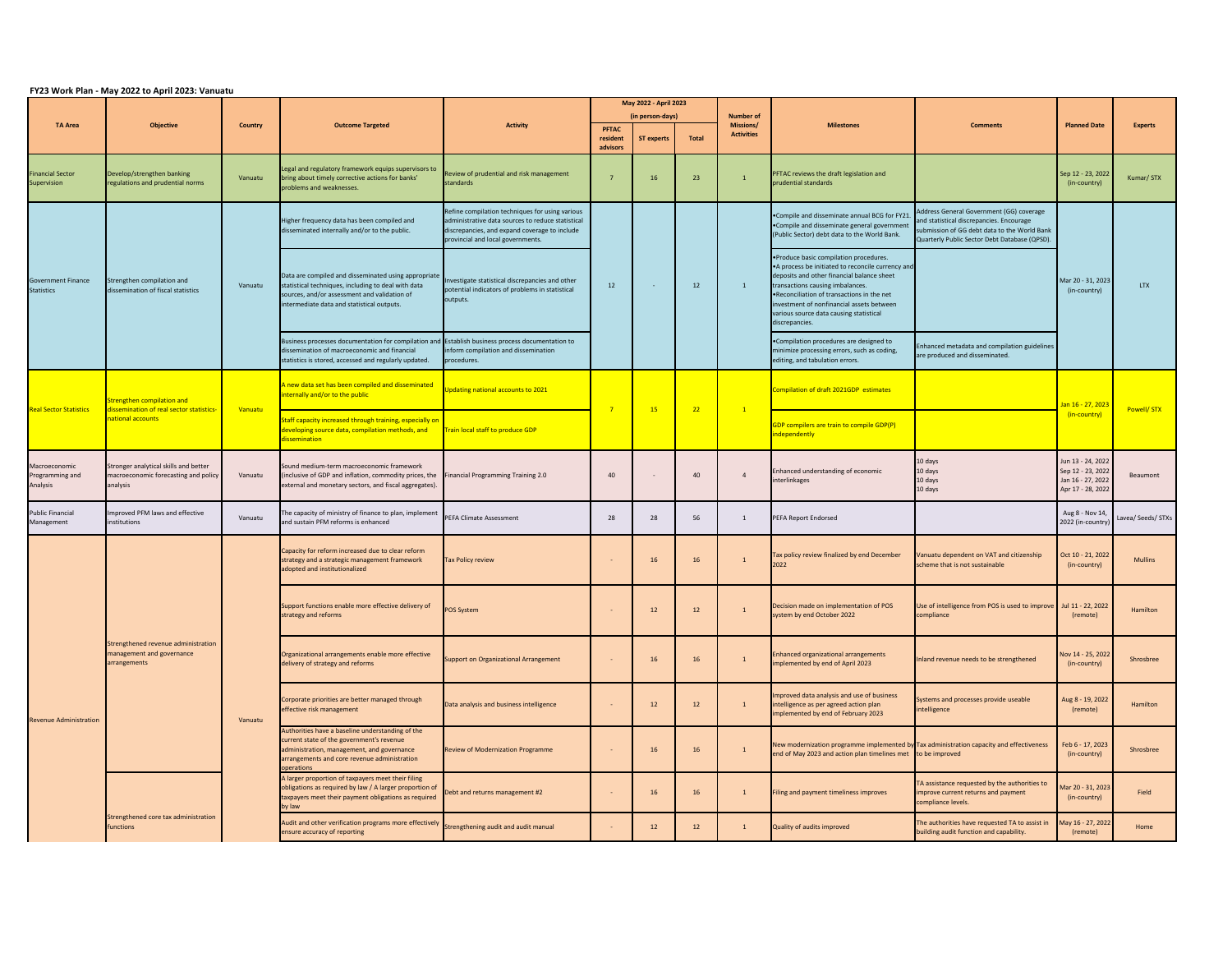|                                                | Objective                                                                                  | <b>Country</b> | <b>Outcome Targeted</b>                                                                                                                                                                                   | <b>Activity</b>                                                                                                                                                                            | May 2022 - April 2023            |                   |              |                               |                                                                                                                                                                                                                                                                                                                                          |                                                                                                                                                                                       |                                                                                  |                    |
|------------------------------------------------|--------------------------------------------------------------------------------------------|----------------|-----------------------------------------------------------------------------------------------------------------------------------------------------------------------------------------------------------|--------------------------------------------------------------------------------------------------------------------------------------------------------------------------------------------|----------------------------------|-------------------|--------------|-------------------------------|------------------------------------------------------------------------------------------------------------------------------------------------------------------------------------------------------------------------------------------------------------------------------------------------------------------------------------------|---------------------------------------------------------------------------------------------------------------------------------------------------------------------------------------|----------------------------------------------------------------------------------|--------------------|
| <b>TA Area</b>                                 |                                                                                            |                |                                                                                                                                                                                                           |                                                                                                                                                                                            | (in person-days)<br><b>PFTAC</b> |                   |              | <b>Number of</b><br>Missions/ | <b>Milestones</b>                                                                                                                                                                                                                                                                                                                        | <b>Comments</b>                                                                                                                                                                       | <b>Planned Date</b>                                                              | <b>Experts</b>     |
|                                                |                                                                                            |                |                                                                                                                                                                                                           |                                                                                                                                                                                            | resident<br>advisors             | <b>ST experts</b> | <b>Total</b> | <b>Activities</b>             |                                                                                                                                                                                                                                                                                                                                          |                                                                                                                                                                                       |                                                                                  |                    |
| <b>Financial Sector</b><br>Supervision         | Develop/strengthen banking<br>regulations and prudential norms                             | Vanuatu        | Legal and regulatory framework equips supervisors to<br>bring about timely corrective actions for banks'<br>problems and weaknesses.                                                                      | Review of prudential and risk management<br>standards                                                                                                                                      |                                  | 16                | 23           |                               | <b>PFTAC reviews the draft legislation and</b><br>prudential standards                                                                                                                                                                                                                                                                   |                                                                                                                                                                                       | Sep 12 - 23, 2022<br>(in-country)                                                | Kumar/STX          |
| <b>Government Finance</b><br><b>Statistics</b> | Strengthen compilation and<br>dissemination of fiscal statistics                           | Vanuatu        | Higher frequency data has been compiled and<br>disseminated internally and/or to the public.                                                                                                              | Refine compilation techniques for using various<br>administrative data sources to reduce statistical<br>discrepancies, and expand coverage to include<br>provincial and local governments. |                                  |                   |              |                               | •Compile and disseminate annual BCG for FY21<br>•Compile and disseminate general government<br>(Public Sector) debt data to the World Bank.                                                                                                                                                                                              | Address General Government (GG) coverage<br>and statistical discrepancies. Encourage<br>submission of GG debt data to the World Bank<br>Quarterly Public Sector Debt Database (QPSD). | Mar 20 - 31, 2023<br>(in-country)                                                | <b>LTX</b>         |
|                                                |                                                                                            |                | Data are compiled and disseminated using appropriate<br>statistical techniques, including to deal with data<br>sources, and/or assessment and validation of<br>intermediate data and statistical outputs. | Investigate statistical discrepancies and other<br>potential indicators of problems in statistical<br>outputs.                                                                             | 12                               |                   | 12           |                               | . Produce basic compilation procedures.<br>• A process be initiated to reconcile currency and<br>deposits and other financial balance sheet<br>transactions causing imbalances.<br>. Reconciliation of transactions in the net<br>investment of nonfinancial assets between<br>various source data causing statistical<br>discrepancies. |                                                                                                                                                                                       |                                                                                  |                    |
|                                                |                                                                                            |                | Business processes documentation for compilation and Establish business process documentation to<br>dissemination of macroeconomic and financial<br>statistics is stored, accessed and regularly updated. | inform compilation and dissemination<br>procedures.                                                                                                                                        |                                  |                   |              |                               | •Compilation procedures are designed to<br>minimize processing errors, such as coding,<br>editing, and tabulation errors.                                                                                                                                                                                                                | Enhanced metadata and compilation guidelines<br>are produced and disseminated.                                                                                                        |                                                                                  |                    |
| <b>Real Sector Statistics</b>                  | Strengthen compilation and<br>dissemination of real sector statistics<br>national accounts | Vanuatu        | A new data set has been compiled and disseminated<br>nternally and/or to the public                                                                                                                       | Updating national accounts to 2021                                                                                                                                                         |                                  | 15                | 22           | $\mathbf{1}$                  | Compilation of draft 2021GDP estimates                                                                                                                                                                                                                                                                                                   |                                                                                                                                                                                       | Jan 16 - 27, 2023<br>(in-country)                                                | Powell/ STX        |
|                                                |                                                                                            |                | Staff capacity increased through training, especially on<br>developing source data, compilation methods, and<br>dissemination                                                                             | Train local staff to produce GDP                                                                                                                                                           |                                  |                   |              |                               | GDP compilers are train to compile GDP(P)<br>independently                                                                                                                                                                                                                                                                               |                                                                                                                                                                                       |                                                                                  |                    |
| Macroeconomic<br>Programming and<br>Analysis   | Stronger analytical skills and better<br>macroeconomic forecasting and policy<br>analysis  | Vanuatu        | Sound medium-term macroeconomic framework<br>(inclusive of GDP and inflation, commodity prices, the<br>external and monetary sectors, and fiscal aggregates).                                             | <b>Financial Programming Training 2.0</b>                                                                                                                                                  | 40                               |                   | 40           | $\overline{4}$                | Enhanced understanding of economic<br>interlinkages                                                                                                                                                                                                                                                                                      | 10 days<br>10 days<br>10 days<br>10 days                                                                                                                                              | Jun 13 - 24, 2022<br>Sep 12 - 23, 2022<br>Jan 16 - 27, 2022<br>Apr 17 - 28, 2022 | Beaumont           |
| <b>Public Financial</b><br>Management          | Improved PFM laws and effective<br>institutions                                            | Vanuatu        | The capacity of ministry of finance to plan, implement<br>and sustain PFM reforms is enhanced                                                                                                             | <b>PEFA Climate Assessment</b>                                                                                                                                                             | 28                               | 28                | 56           |                               | PEFA Report Endorsed                                                                                                                                                                                                                                                                                                                     |                                                                                                                                                                                       | Aug 8 - Nov 14,<br>2022 (in-country)                                             | Lavea/ Seeds/ STXs |
| <b>Revenue Administration</b>                  | Strengthened revenue administration<br>management and governance<br>arrangements           | Vanuatu        | Capacity for reform increased due to clear reform<br>strategy and a strategic management framework<br>adopted and institutionalized                                                                       | <b>Tax Policy review</b>                                                                                                                                                                   |                                  | 16                | 16           | $\overline{1}$                | Tax policy review finalized by end December<br>2022                                                                                                                                                                                                                                                                                      | Vanuatu dependent on VAT and citizenship<br>scheme that is not sustainable                                                                                                            | Oct 10 - 21, 2022<br>(in-country)                                                | <b>Mullins</b>     |
|                                                |                                                                                            |                | Support functions enable more effective delivery of<br>strategy and reforms                                                                                                                               | <b>POS System</b>                                                                                                                                                                          |                                  | 12                | 12           |                               | Decision made on implementation of POS<br>system by end October 2022                                                                                                                                                                                                                                                                     | Use of intelligence from POS is used to improve Jul 11 - 22, 2022<br>compliance                                                                                                       | (remote)                                                                         | <b>Hamilton</b>    |
|                                                |                                                                                            |                | Organizational arrangements enable more effective<br>delivery of strategy and reforms                                                                                                                     | Support on Organizational Arrangement                                                                                                                                                      |                                  | 16                | 16           |                               | <b>Enhanced organizational arrangements</b><br>implemented by end of April 2023                                                                                                                                                                                                                                                          | Inland revenue needs to be strengthened                                                                                                                                               | Nov 14 - 25, 2022<br>(in-country)                                                | Shrosbree          |
|                                                |                                                                                            |                | Corporate priorities are better managed through<br>effective risk management                                                                                                                              | Data analysis and business intelligence                                                                                                                                                    |                                  | 12                | 12           |                               | Improved data analysis and use of business<br>intelligence as per agreed action plan<br>implemented by end of February 2023                                                                                                                                                                                                              | Systems and processes provide useable<br>intelligence                                                                                                                                 | Aug 8 - 19, 2022<br>(remote)                                                     | Hamilton           |
|                                                |                                                                                            |                | Authorities have a baseline understanding of the<br>current state of the government's revenue<br>administration, management, and governance<br>arrangements and core revenue administration<br>operations | <b>Review of Modernization Programme</b>                                                                                                                                                   |                                  | 16                | 16           |                               | New modernization programme implemented by Tax administration capacity and effectiveness<br>end of May 2023 and action plan timelines met to be improved                                                                                                                                                                                 |                                                                                                                                                                                       | Feb 6 - 17, 2023<br>(in-country)                                                 | Shrosbree          |
|                                                | Strengthened core tax administration<br>functions                                          |                | A larger proportion of taxpayers meet their filing<br>obligations as required by law / A larger proportion of<br>taxpayers meet their payment obligations as required<br>by law                           | Debt and returns management #2                                                                                                                                                             |                                  |                   | 16           |                               | Filing and payment timeliness improves                                                                                                                                                                                                                                                                                                   | TA assistance requested by the authorities to<br>improve current returns and payment<br>compliance levels.                                                                            | Mar 20 - 31, 2023<br>(in-country)                                                | Field              |
|                                                |                                                                                            |                | Audit and other verification programs more effectively<br>ensure accuracy of reporting                                                                                                                    | Strengthening audit and audit manual                                                                                                                                                       |                                  | 12                | 12           |                               | Quality of audits improved                                                                                                                                                                                                                                                                                                               | The authorities have requested TA to assist in<br>building audit function and capability.                                                                                             | May 16 - 27, 2022<br>(remote)                                                    | Home               |